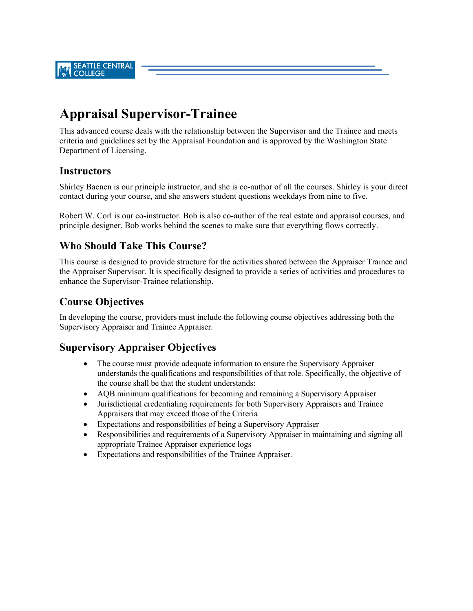**SEATTLE CENTRAL COLLEGE** 

# **Appraisal Supervisor-Trainee**

This advanced course deals with the relationship between the Supervisor and the Trainee and meets criteria and guidelines set by the Appraisal Foundation and is approved by the Washington State Department of Licensing.

#### **Instructors**

Shirley Baenen is our principle instructor, and she is co-author of all the courses. Shirley is your direct contact during your course, and she answers student questions weekdays from nine to five.

Robert W. Corl is our co-instructor. Bob is also co-author of the real estate and appraisal courses, and principle designer. Bob works behind the scenes to make sure that everything flows correctly.

#### **Who Should Take This Course?**

This course is designed to provide structure for the activities shared between the Appraiser Trainee and the Appraiser Supervisor. It is specifically designed to provide a series of activities and procedures to enhance the Supervisor-Trainee relationship.

## **Course Objectives**

In developing the course, providers must include the following course objectives addressing both the Supervisory Appraiser and Trainee Appraiser.

#### **Supervisory Appraiser Objectives**

- The course must provide adequate information to ensure the Supervisory Appraiser understands the qualifications and responsibilities of that role. Specifically, the objective of the course shall be that the student understands:
- AQB minimum qualifications for becoming and remaining a Supervisory Appraiser
- Jurisdictional credentialing requirements for both Supervisory Appraisers and Trainee Appraisers that may exceed those of the Criteria
- Expectations and responsibilities of being a Supervisory Appraiser
- Responsibilities and requirements of a Supervisory Appraiser in maintaining and signing all appropriate Trainee Appraiser experience logs
- Expectations and responsibilities of the Trainee Appraiser.